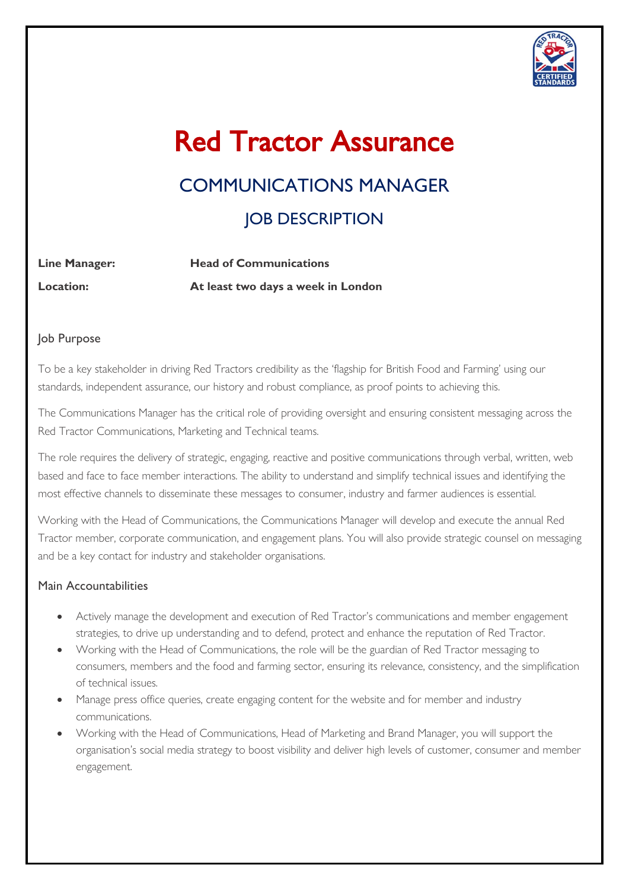

# Red Tractor Assurance

# COMMUNICATIONS MANAGER **JOB DESCRIPTION**

| <b>Line Manager:</b> | <b>Head of Communications</b>      |
|----------------------|------------------------------------|
| <b>Location:</b>     | At least two days a week in London |

#### Job Purpose

To be a key stakeholder in driving Red Tractors credibility as the 'flagship for British Food and Farming' using our standards, independent assurance, our history and robust compliance, as proof points to achieving this.

The Communications Manager has the critical role of providing oversight and ensuring consistent messaging across the Red Tractor Communications, Marketing and Technical teams.

The role requires the delivery of strategic, engaging, reactive and positive communications through verbal, written, web based and face to face member interactions. The ability to understand and simplify technical issues and identifying the most effective channels to disseminate these messages to consumer, industry and farmer audiences is essential.

Working with the Head of Communications, the Communications Manager will develop and execute the annual Red Tractor member, corporate communication, and engagement plans. You will also provide strategic counsel on messaging and be a key contact for industry and stakeholder organisations.

#### Main Accountabilities

- Actively manage the development and execution of Red Tractor's communications and member engagement strategies, to drive up understanding and to defend, protect and enhance the reputation of Red Tractor.
- Working with the Head of Communications, the role will be the guardian of Red Tractor messaging to consumers, members and the food and farming sector, ensuring its relevance, consistency, and the simplification of technical issues.
- Manage press office queries, create engaging content for the website and for member and industry communications.
- Working with the Head of Communications, Head of Marketing and Brand Manager, you will support the organisation's social media strategy to boost visibility and deliver high levels of customer, consumer and member engagement.